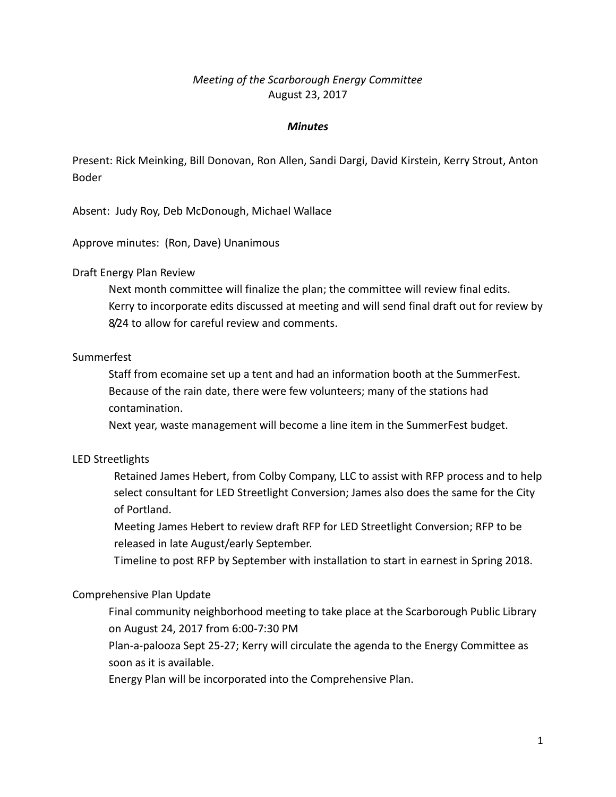# *Meeting of the Scarborough Energy Committee* August 23, 2017

## *Minutes*

Present: Rick Meinking, Bill Donovan, Ron Allen, Sandi Dargi, David Kirstein, Kerry Strout, Anton Boder

Absent: Judy Roy, Deb McDonough, Michael Wallace

Approve minutes: (Ron, Dave) Unanimous

#### Draft Energy Plan Review

Next month committee will finalize the plan; the committee will review final edits. Kerry to incorporate edits discussed at meeting and will send final draft out for review by 8/24 to allow for careful review and comments.

### Summerfest

Staff from ecomaine set up a tent and had an information booth at the SummerFest. Because of the rain date, there were few volunteers; many of the stations had contamination.

Next year, waste management will become a line item in the SummerFest budget.

# LED Streetlights

Retained James Hebert, from Colby Company, LLC to assist with RFP process and to help select consultant for LED Streetlight Conversion; James also does the same for the City of Portland.

Meeting James Hebert to review draft RFP for LED Streetlight Conversion; RFP to be released in late August/early September.

Timeline to post RFP by September with installation to start in earnest in Spring 2018.

#### Comprehensive Plan Update

Final community neighborhood meeting to take place at the Scarborough Public Library on August 24, 2017 from 6:00-7:30 PM

Plan-a-palooza Sept 25-27; Kerry will circulate the agenda to the Energy Committee as soon as it is available.

Energy Plan will be incorporated into the Comprehensive Plan.